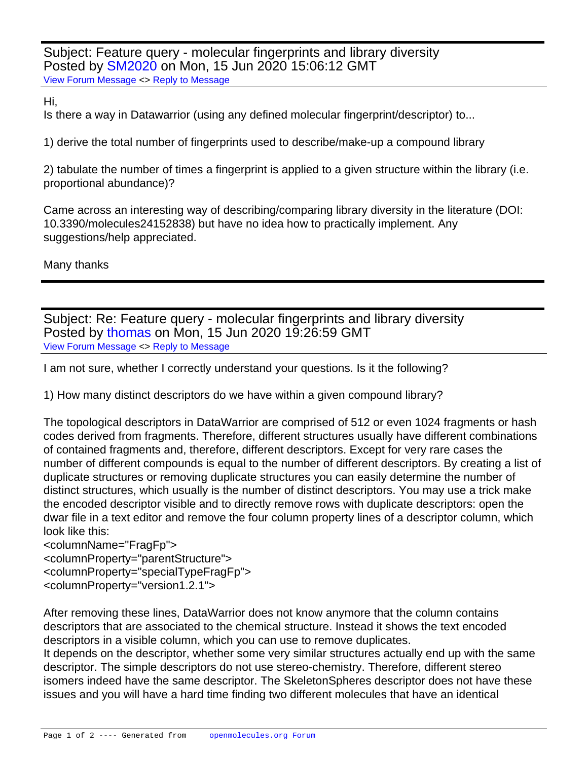Subject: Feature query - molecular fingerprints and library diversity Posted by **SM2020** on Mon, 15 Jun 2020 15:06:12 GMT [View Forum Message](https://openmolecules.org/forum/index.php?t=rview&th=381&goto=951#msg_951) <> [Reply to Message](https://openmolecules.org/forum/index.php?t=post&reply_to=951)

## Hi,

Is there a way in Datawarrior (using any defined molecular fingerprint/descriptor) to...

1) derive the total number of fingerprints used to describe/make-up a compound library

2) tabulate the number of times a fingerprint is applied to a given structure within the library (i.e. proportional abundance)?

Came across an interesting way of describing/comparing library diversity in the literature (DOI: 10.3390/molecules24152838) but have no idea how to practically implement. Any suggestions/help appreciated.

Many thanks

Subject: Re: Feature query - molecular fingerprints and library diversity Posted by [thomas](https://openmolecules.org/forum/index.php?t=usrinfo&id=6) on Mon, 15 Jun 2020 19:26:59 GMT [View Forum Message](https://openmolecules.org/forum/index.php?t=rview&th=381&goto=952#msg_952) <> [Reply to Message](https://openmolecules.org/forum/index.php?t=post&reply_to=952)

I am not sure, whether I correctly understand your questions. Is it the following?

1) How many distinct descriptors do we have within a given compound library?

The topological descriptors in DataWarrior are comprised of 512 or even 1024 fragments or hash codes derived from fragments. Therefore, different structures usually have different combinations of contained fragments and, therefore, different descriptors. Except for very rare cases the number of different compounds is equal to the number of different descriptors. By creating a list of duplicate structures or removing duplicate structures you can easily determine the number of distinct structures, which usually is the number of distinct descriptors. You may use a trick make the encoded descriptor visible and to directly remove rows with duplicate descriptors: open the dwar file in a text editor and remove the four column property lines of a descriptor column, which look like this:

<columnName="FragFp">

<columnProperty="parent Structure">

<columnProperty="specialType FragFp">

<columnProperty="version 1.2.1">

After removing these lines, DataWarrior does not know anymore that the column contains descriptors that are associated to the chemical structure. Instead it shows the text encoded descriptors in a visible column, which you can use to remove duplicates.

It depends on the descriptor, whether some very similar structures actually end up with the same descriptor. The simple descriptors do not use stereo-chemistry. Therefore, different stereo isomers indeed have the same descriptor. The SkeletonSpheres descriptor does not have these issues and you will have a hard time finding two different molecules that have an identical